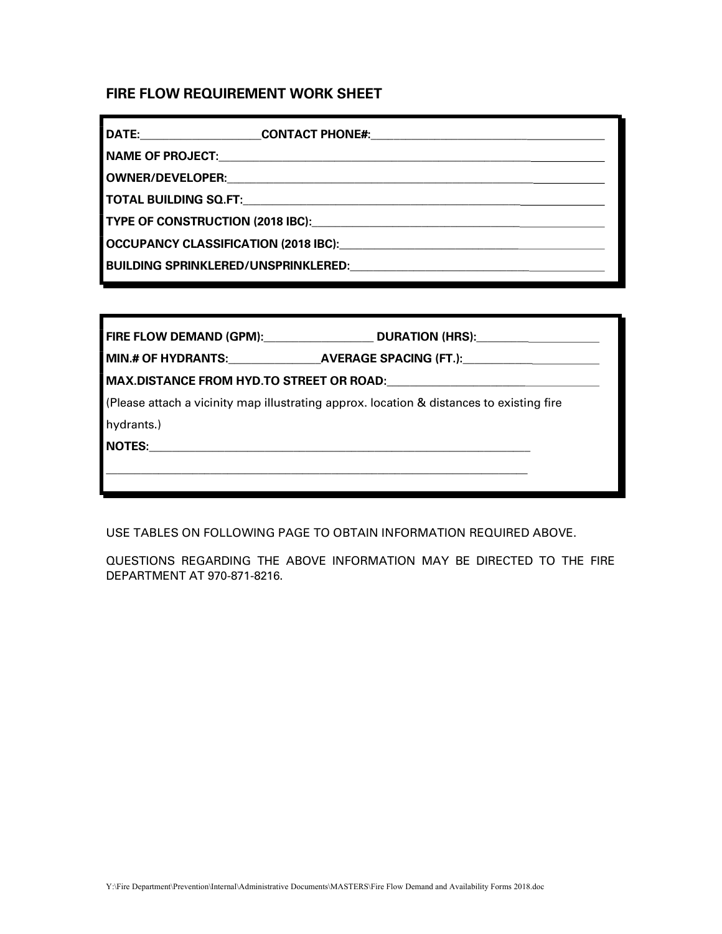# FIRE FLOW REQUIREMENT WORK SHEET

| DATE:                                      | <b>CONTACT PHONE#:</b> |  |  |  |
|--------------------------------------------|------------------------|--|--|--|
| <b>NAME OF PROJECT:</b>                    |                        |  |  |  |
| OWNER/DEVELOPER:                           |                        |  |  |  |
| <b>TOTAL BUILDING SQ.FT:</b>               |                        |  |  |  |
| <b>TYPE OF CONSTRUCTION (2018 IBC):</b>    |                        |  |  |  |
| OCCUPANCY CLASSIFICATION (2018 IBC):       |                        |  |  |  |
| <b>BUILDING SPRINKLERED/UNSPRINKLERED:</b> |                        |  |  |  |

|            | FIRE FLOW DEMAND (GPM):__________________________________DURATION (HRS):___________________________ |  |  |  |
|------------|-----------------------------------------------------------------------------------------------------|--|--|--|
|            | MIN.# OF HYDRANTS:_________________AVERAGE SPACING (FT.):_______________________                    |  |  |  |
|            |                                                                                                     |  |  |  |
|            | (Please attach a vicinity map illustrating approx. location & distances to existing fire            |  |  |  |
| hydrants.) |                                                                                                     |  |  |  |
|            |                                                                                                     |  |  |  |
|            |                                                                                                     |  |  |  |
|            |                                                                                                     |  |  |  |

USE TABLES ON FOLLOWING PAGE TO OBTAIN INFORMATION REQUIRED ABOVE.

QUESTIONS REGARDING THE ABOVE INFORMATION MAY BE DIRECTED TO THE FIRE DEPARTMENT AT 970-871-8216.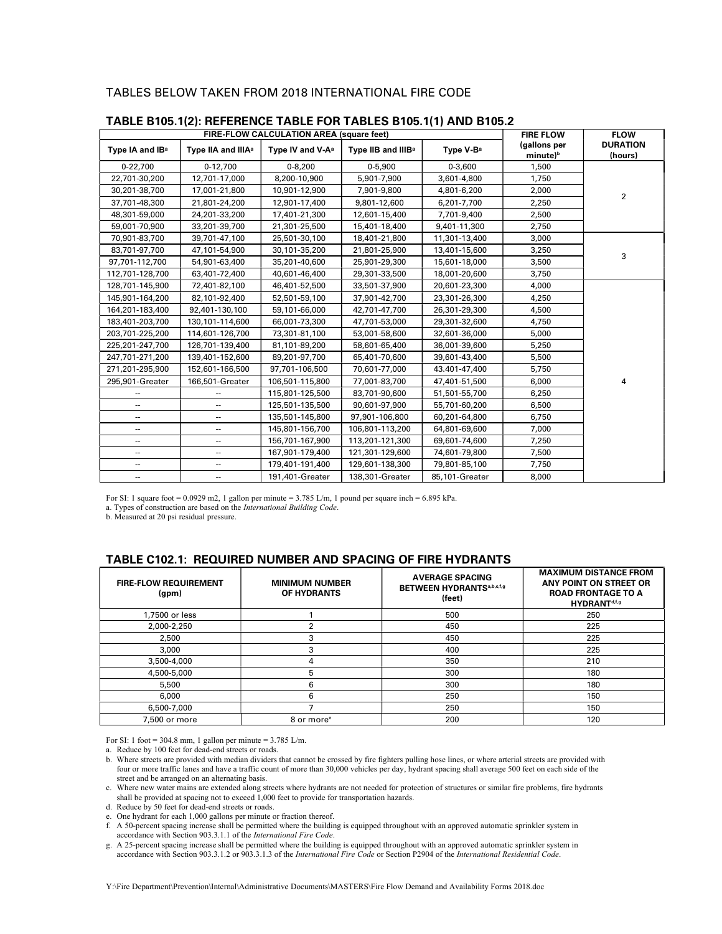#### TABLES BELOW TAKEN FROM 2018 INTERNATIONAL FIRE CODE

| FIRE-FLOW CALCULATION AREA (square feet) |                                |                              | <b>FIRE FLOW</b>               | <b>FLOW</b>           |                                      |                            |
|------------------------------------------|--------------------------------|------------------------------|--------------------------------|-----------------------|--------------------------------------|----------------------------|
| Type IA and IB <sup>a</sup>              | Type IIA and IIIA <sup>a</sup> | Type IV and V-A <sup>a</sup> | Type IIB and IIIB <sup>a</sup> | Type V-B <sup>a</sup> | (gallons per<br>minute) <sup>b</sup> | <b>DURATION</b><br>(hours) |
| 0-22,700                                 | $0-12,700$                     | $0 - 8,200$                  | $0 - 5,900$                    | $0 - 3,600$           | 1,500                                |                            |
| 22,701-30,200                            | 12,701-17,000                  | 8,200-10,900                 | 5,901-7,900                    | 3,601-4,800           | 1,750                                |                            |
| 30,201-38,700                            | 17,001-21,800                  | 10,901-12,900                | 7,901-9,800                    | 4,801-6,200           | 2,000                                | $\overline{2}$             |
| 37,701-48,300                            | 21,801-24,200                  | 12,901-17,400                | 9,801-12,600                   | 6,201-7,700           | 2,250                                |                            |
| 48,301-59,000                            | 24,201-33,200                  | 17,401-21,300                | 12,601-15,400                  | 7,701-9,400           | 2,500                                |                            |
| 59,001-70,900                            | 33,201-39,700                  | 21,301-25,500                | 15,401-18,400                  | 9,401-11,300          | 2,750                                |                            |
| 70,901-83,700                            | 39,701-47,100                  | 25,501-30,100                | 18,401-21,800                  | 11,301-13,400         | 3,000                                |                            |
| 83,701-97,700                            | 47,101-54,900                  | 30,101-35,200                | 21,801-25,900                  | 13,401-15,600         | 3,250                                | 3                          |
| 97,701-112,700                           | 54,901-63,400                  | 35,201-40,600                | 25,901-29,300                  | 15,601-18,000         | 3,500                                |                            |
| 112,701-128,700                          | 63,401-72,400                  | 40,601-46,400                | 29,301-33,500                  | 18,001-20,600         | 3,750                                |                            |
| 128,701-145,900                          | 72,401-82,100                  | 46,401-52,500                | 33,501-37,900                  | 20,601-23,300         | 4,000                                |                            |
| 145,901-164,200                          | 82,101-92,400                  | 52,501-59,100                | 37,901-42,700                  | 23,301-26,300         | 4,250                                |                            |
| 164,201-183,400                          | 92,401-130,100                 | 59,101-66,000                | 42,701-47,700                  | 26,301-29,300         | 4,500                                |                            |
| 183,401-203,700                          | 130,101-114,600                | 66,001-73,300                | 47,701-53,000                  | 29,301-32,600         | 4,750                                |                            |
| 203,701-225,200                          | 114,601-126,700                | 73,301-81,100                | 53,001-58,600                  | 32,601-36,000         | 5,000                                |                            |
| 225,201-247,700                          | 126,701-139,400                | 81,101-89,200                | 58,601-65,400                  | 36,001-39,600         | 5,250                                |                            |
| 247,701-271,200                          | 139,401-152,600                | 89,201-97,700                | 65,401-70,600                  | 39,601-43,400         | 5,500                                |                            |
| 271,201-295,900                          | 152,601-166,500                | 97,701-106,500               | 70,601-77,000                  | 43.401-47,400         | 5,750                                |                            |
| 295,901-Greater                          | 166,501-Greater                | 106,501-115,800              | 77,001-83,700                  | 47,401-51,500         | 6,000                                | 4                          |
|                                          |                                | 115,801-125,500              | 83,701-90,600                  | 51,501-55,700         | 6,250                                |                            |
| --                                       | --                             | 125,501-135,500              | 90,601-97,900                  | 55,701-60,200         | 6,500                                |                            |
| --                                       | $\overline{a}$                 | 135,501-145,800              | 97,901-106,800                 | 60,201-64,800         | 6,750                                |                            |
| --                                       | --                             | 145,801-156,700              | 106,801-113,200                | 64,801-69,600         | 7,000                                |                            |
| --                                       | ۰.                             | 156,701-167,900              | 113,201-121,300                | 69,601-74,600         | 7,250                                |                            |
| --                                       | $\overline{\phantom{a}}$       | 167,901-179,400              | 121,301-129,600                | 74,601-79,800         | 7,500                                |                            |
| --                                       | --                             | 179,401-191,400              | 129,601-138,300                | 79,801-85,100         | 7,750                                |                            |
| --                                       | --                             | 191,401-Greater              | 138,301-Greater                | 85,101-Greater        | 8,000                                |                            |

#### TABLE B105.1(2): REFERENCE TABLE FOR TABLES B105.1(1) AND B105.2

For SI: 1 square foot =  $0.0929$  m2, 1 gallon per minute =  $3.785$  L/m, 1 pound per square inch =  $6.895$  kPa.

a. Types of construction are based on the International Building Code.

b. Measured at 20 psi residual pressure.

### TABLE C102.1: REQUIRED NUMBER AND SPACING OF FIRE HYDRANTS

| <b>FIRE FLOW REQUIREMENT</b><br>(qpm) | <b>MINIMUM NUMBER</b><br>OF HYDRANTS | <b>AVERAGE SPACING</b><br><b>BETWEEN HYDRANTSa,b,c,f,g</b><br>(feet) | <b>MAXIMUM DISTANCE FROM</b><br>ANY POINT ON STREET OR<br><b>ROAD FRONTAGE TO A</b><br>HYDRANT <sup>d,f,g</sup> |
|---------------------------------------|--------------------------------------|----------------------------------------------------------------------|-----------------------------------------------------------------------------------------------------------------|
| 1,7500 or less                        |                                      | 500                                                                  | 250                                                                                                             |
| 2,000-2,250                           | ີ                                    | 450                                                                  | 225                                                                                                             |
| 2,500                                 | 3                                    | 450                                                                  | 225                                                                                                             |
| 3,000                                 | 3                                    | 400                                                                  | 225                                                                                                             |
| 3,500-4,000                           | 4                                    | 350                                                                  | 210                                                                                                             |
| 4,500-5,000                           | 5                                    | 300                                                                  | 180                                                                                                             |
| 5,500                                 | 6                                    | 300                                                                  | 180                                                                                                             |
| 6,000                                 | 6                                    | 250                                                                  | 150                                                                                                             |
| 6,500-7,000                           |                                      | 250                                                                  | 150                                                                                                             |
| 7.500 or more                         | 8 or more <sup>e</sup>               | 200                                                                  | 120                                                                                                             |

For SI: 1 foot = 304.8 mm, 1 gallon per minute = 3.785 L/m.

b. Where streets are provided with median dividers that cannot be crossed by fire fighters pulling hose lines, or where arterial streets are provided with four or more traffic lanes and have a traffic count of more than 30,000 vehicles per day, hydrant spacing shall average 500 feet on each side of the street and be arranged on an alternating basis.

c. Where new water mains are extended along streets where hydrants are not needed for protection of structures or similar fire problems, fire hydrants shall be provided at spacing not to exceed  $1,000$  feet to provide for transportation hazards.

d. Reduce by 50 feet for dead-end streets or roads.

e. One hydrant for each 1,000 gallons per minute or fraction thereof.

f. A 50-percent spacing increase shall be permitted where the building is equipped throughout with an approved automatic sprinkler system in accordance with Section 903.3.1.1 of the International Fire Code.

g. A 25-percent spacing increase shall be permitted where the building is equipped throughout with an approved automatic sprinkler system in accordance with Section 903.3.1.2 or 903.3.1.3 of the International Fire Code or Section P2904 of the International Residential Code.

a. Reduce by 100 feet for dead-end streets or roads.